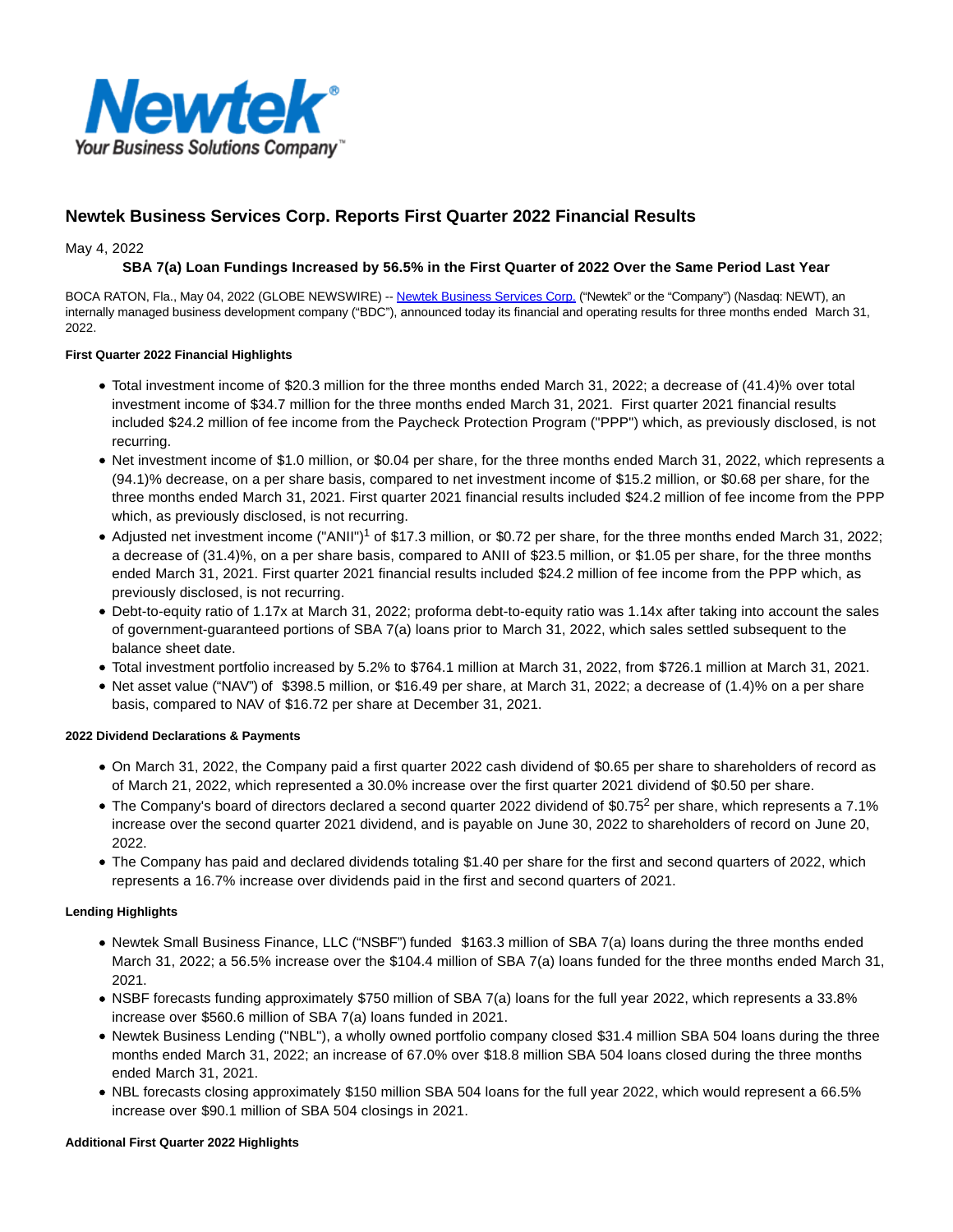

# **Newtek Business Services Corp. Reports First Quarter 2022 Financial Results**

May 4, 2022

### **SBA 7(a) Loan Fundings Increased by 56.5% in the First Quarter of 2022 Over the Same Period Last Year**

BOCA RATON, Fla., May 04, 2022 (GLOBE NEWSWIRE) -- [Newtek Business Services Corp. \(](https://www.globenewswire.com/Tracker?data=2wqRWdMcpKYxhBwdX6kA-Glx88bUpHdGvMrxNFBCfJvEvIZvgbEZ2g7xJbtzhDM_7d95gRZlrOGJvj5zMw09jWIEUwwJJOnvCBbhrfjxa_8=)"Newtek" or the "Company") (Nasdaq: NEWT), an internally managed business development company ("BDC"), announced today its financial and operating results for three months ended March 31, 2022.

### **First Quarter 2022 Financial Highlights**

- Total investment income of \$20.3 million for the three months ended March 31, 2022; a decrease of (41.4)% over total investment income of \$34.7 million for the three months ended March 31, 2021. First quarter 2021 financial results included \$24.2 million of fee income from the Paycheck Protection Program ("PPP") which, as previously disclosed, is not recurring.
- Net investment income of \$1.0 million, or \$0.04 per share, for the three months ended March 31, 2022, which represents a (94.1)% decrease, on a per share basis, compared to net investment income of \$15.2 million, or \$0.68 per share, for the three months ended March 31, 2021. First quarter 2021 financial results included \$24.2 million of fee income from the PPP which, as previously disclosed, is not recurring.
- Adjusted net investment income ("ANII")<sup>1</sup> of \$17.3 million, or \$0.72 per share, for the three months ended March 31, 2022; a decrease of (31.4)%, on a per share basis, compared to ANII of \$23.5 million, or \$1.05 per share, for the three months ended March 31, 2021. First quarter 2021 financial results included \$24.2 million of fee income from the PPP which, as previously disclosed, is not recurring.
- Debt-to-equity ratio of 1.17x at March 31, 2022; proforma debt-to-equity ratio was 1.14x after taking into account the sales of government-guaranteed portions of SBA 7(a) loans prior to March 31, 2022, which sales settled subsequent to the balance sheet date.
- Total investment portfolio increased by 5.2% to \$764.1 million at March 31, 2022, from \$726.1 million at March 31, 2021.
- Net asset value ("NAV") of \$398.5 million, or \$16.49 per share, at March 31, 2022; a decrease of (1.4)% on a per share basis, compared to NAV of \$16.72 per share at December 31, 2021.

### **2022 Dividend Declarations & Payments**

- On March 31, 2022, the Company paid a first quarter 2022 cash dividend of \$0.65 per share to shareholders of record as of March 21, 2022, which represented a 30.0% increase over the first quarter 2021 dividend of \$0.50 per share.
- The Company's board of directors declared a second quarter 2022 dividend of \$0.75<sup>2</sup> per share, which represents a 7.1% increase over the second quarter 2021 dividend, and is payable on June 30, 2022 to shareholders of record on June 20, 2022.
- The Company has paid and declared dividends totaling \$1.40 per share for the first and second quarters of 2022, which represents a 16.7% increase over dividends paid in the first and second quarters of 2021.

### **Lending Highlights**

- Newtek Small Business Finance, LLC ("NSBF") funded \$163.3 million of SBA 7(a) loans during the three months ended March 31, 2022; a 56.5% increase over the \$104.4 million of SBA 7(a) loans funded for the three months ended March 31, 2021.
- NSBF forecasts funding approximately \$750 million of SBA 7(a) loans for the full year 2022, which represents a 33.8% increase over \$560.6 million of SBA 7(a) loans funded in 2021.
- Newtek Business Lending ("NBL"), a wholly owned portfolio company closed \$31.4 million SBA 504 loans during the three months ended March 31, 2022; an increase of 67.0% over \$18.8 million SBA 504 loans closed during the three months ended March 31, 2021.
- NBL forecasts closing approximately \$150 million SBA 504 loans for the full year 2022, which would represent a 66.5% increase over \$90.1 million of SBA 504 closings in 2021.

### **Additional First Quarter 2022 Highlights**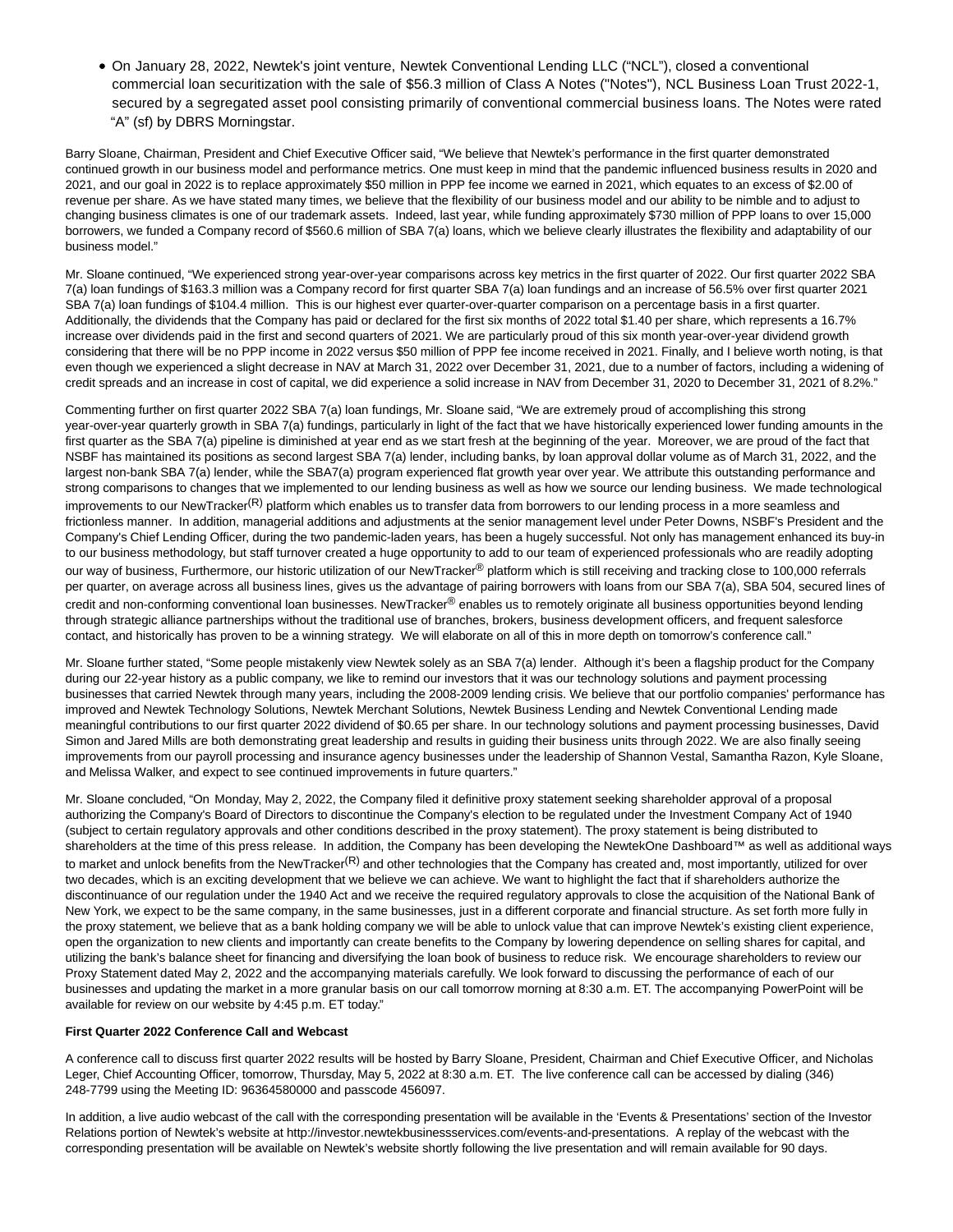On January 28, 2022, Newtek's joint venture, Newtek Conventional Lending LLC ("NCL"), closed a conventional commercial loan securitization with the sale of \$56.3 million of Class A Notes ("Notes"), NCL Business Loan Trust 2022-1, secured by a segregated asset pool consisting primarily of conventional commercial business loans. The Notes were rated "A" (sf) by DBRS Morningstar.

Barry Sloane, Chairman, President and Chief Executive Officer said, "We believe that Newtek's performance in the first quarter demonstrated continued growth in our business model and performance metrics. One must keep in mind that the pandemic influenced business results in 2020 and 2021, and our goal in 2022 is to replace approximately \$50 million in PPP fee income we earned in 2021, which equates to an excess of \$2.00 of revenue per share. As we have stated many times, we believe that the flexibility of our business model and our ability to be nimble and to adjust to changing business climates is one of our trademark assets. Indeed, last year, while funding approximately \$730 million of PPP loans to over 15,000 borrowers, we funded a Company record of \$560.6 million of SBA 7(a) loans, which we believe clearly illustrates the flexibility and adaptability of our business model."

Mr. Sloane continued, "We experienced strong year-over-year comparisons across key metrics in the first quarter of 2022. Our first quarter 2022 SBA 7(a) loan fundings of \$163.3 million was a Company record for first quarter SBA 7(a) loan fundings and an increase of 56.5% over first quarter 2021 SBA 7(a) loan fundings of \$104.4 million. This is our highest ever quarter-over-quarter comparison on a percentage basis in a first quarter. Additionally, the dividends that the Company has paid or declared for the first six months of 2022 total \$1.40 per share, which represents a 16.7% increase over dividends paid in the first and second quarters of 2021. We are particularly proud of this six month year-over-year dividend growth considering that there will be no PPP income in 2022 versus \$50 million of PPP fee income received in 2021. Finally, and I believe worth noting, is that even though we experienced a slight decrease in NAV at March 31, 2022 over December 31, 2021, due to a number of factors, including a widening of credit spreads and an increase in cost of capital, we did experience a solid increase in NAV from December 31, 2020 to December 31, 2021 of 8.2%."

Commenting further on first quarter 2022 SBA 7(a) loan fundings, Mr. Sloane said, "We are extremely proud of accomplishing this strong year-over-year quarterly growth in SBA 7(a) fundings, particularly in light of the fact that we have historically experienced lower funding amounts in the first quarter as the SBA 7(a) pipeline is diminished at year end as we start fresh at the beginning of the year. Moreover, we are proud of the fact that NSBF has maintained its positions as second largest SBA 7(a) lender, including banks, by loan approval dollar volume as of March 31, 2022, and the largest non-bank SBA 7(a) lender, while the SBA7(a) program experienced flat growth year over year. We attribute this outstanding performance and strong comparisons to changes that we implemented to our lending business as well as how we source our lending business. We made technological improvements to our NewTracker<sup>(R)</sup> platform which enables us to transfer data from borrowers to our lending process in a more seamless and frictionless manner. In addition, managerial additions and adjustments at the senior management level under Peter Downs, NSBF's President and the Company's Chief Lending Officer, during the two pandemic-laden years, has been a hugely successful. Not only has management enhanced its buy-in to our business methodology, but staff turnover created a huge opportunity to add to our team of experienced professionals who are readily adopting our way of business, Furthermore, our historic utilization of our NewTracker® platform which is still receiving and tracking close to 100,000 referrals per quarter, on average across all business lines, gives us the advantage of pairing borrowers with loans from our SBA 7(a), SBA 504, secured lines of credit and non-conforming conventional loan businesses. NewTracker® enables us to remotely originate all business opportunities beyond lending through strategic alliance partnerships without the traditional use of branches, brokers, business development officers, and frequent salesforce contact, and historically has proven to be a winning strategy. We will elaborate on all of this in more depth on tomorrow's conference call."

Mr. Sloane further stated, "Some people mistakenly view Newtek solely as an SBA 7(a) lender. Although it's been a flagship product for the Company during our 22-year history as a public company, we like to remind our investors that it was our technology solutions and payment processing businesses that carried Newtek through many years, including the 2008-2009 lending crisis. We believe that our portfolio companies' performance has improved and Newtek Technology Solutions, Newtek Merchant Solutions, Newtek Business Lending and Newtek Conventional Lending made meaningful contributions to our first quarter 2022 dividend of \$0.65 per share. In our technology solutions and payment processing businesses, David Simon and Jared Mills are both demonstrating great leadership and results in guiding their business units through 2022. We are also finally seeing improvements from our payroll processing and insurance agency businesses under the leadership of Shannon Vestal, Samantha Razon, Kyle Sloane, and Melissa Walker, and expect to see continued improvements in future quarters."

Mr. Sloane concluded, "On Monday, May 2, 2022, the Company filed it definitive proxy statement seeking shareholder approval of a proposal authorizing the Company's Board of Directors to discontinue the Company's election to be regulated under the Investment Company Act of 1940 (subject to certain regulatory approvals and other conditions described in the proxy statement). The proxy statement is being distributed to shareholders at the time of this press release. In addition, the Company has been developing the NewtekOne Dashboard™ as well as additional ways to market and unlock benefits from the NewTracker<sup>(R)</sup> and other technologies that the Company has created and, most importantly, utilized for over two decades, which is an exciting development that we believe we can achieve. We want to highlight the fact that if shareholders authorize the discontinuance of our regulation under the 1940 Act and we receive the required regulatory approvals to close the acquisition of the National Bank of New York, we expect to be the same company, in the same businesses, just in a different corporate and financial structure. As set forth more fully in the proxy statement, we believe that as a bank holding company we will be able to unlock value that can improve Newtek's existing client experience, open the organization to new clients and importantly can create benefits to the Company by lowering dependence on selling shares for capital, and utilizing the bank's balance sheet for financing and diversifying the loan book of business to reduce risk. We encourage shareholders to review our Proxy Statement dated May 2, 2022 and the accompanying materials carefully. We look forward to discussing the performance of each of our businesses and updating the market in a more granular basis on our call tomorrow morning at 8:30 a.m. ET. The accompanying PowerPoint will be available for review on our website by 4:45 p.m. ET today."

#### **First Quarter 2022 Conference Call and Webcast**

A conference call to discuss first quarter 2022 results will be hosted by Barry Sloane, President, Chairman and Chief Executive Officer, and Nicholas Leger, Chief Accounting Officer, tomorrow, Thursday, May 5, 2022 at 8:30 a.m. ET. The live conference call can be accessed by dialing (346) 248-7799 using the Meeting ID: 96364580000 and passcode 456097.

In addition, a live audio webcast of the call with the corresponding presentation will be available in the 'Events & Presentations' section of the Investor Relations portion of Newtek's website at http://investor.newtekbusinessservices.com/events-and-presentations. A replay of the webcast with the corresponding presentation will be available on Newtek's website shortly following the live presentation and will remain available for 90 days.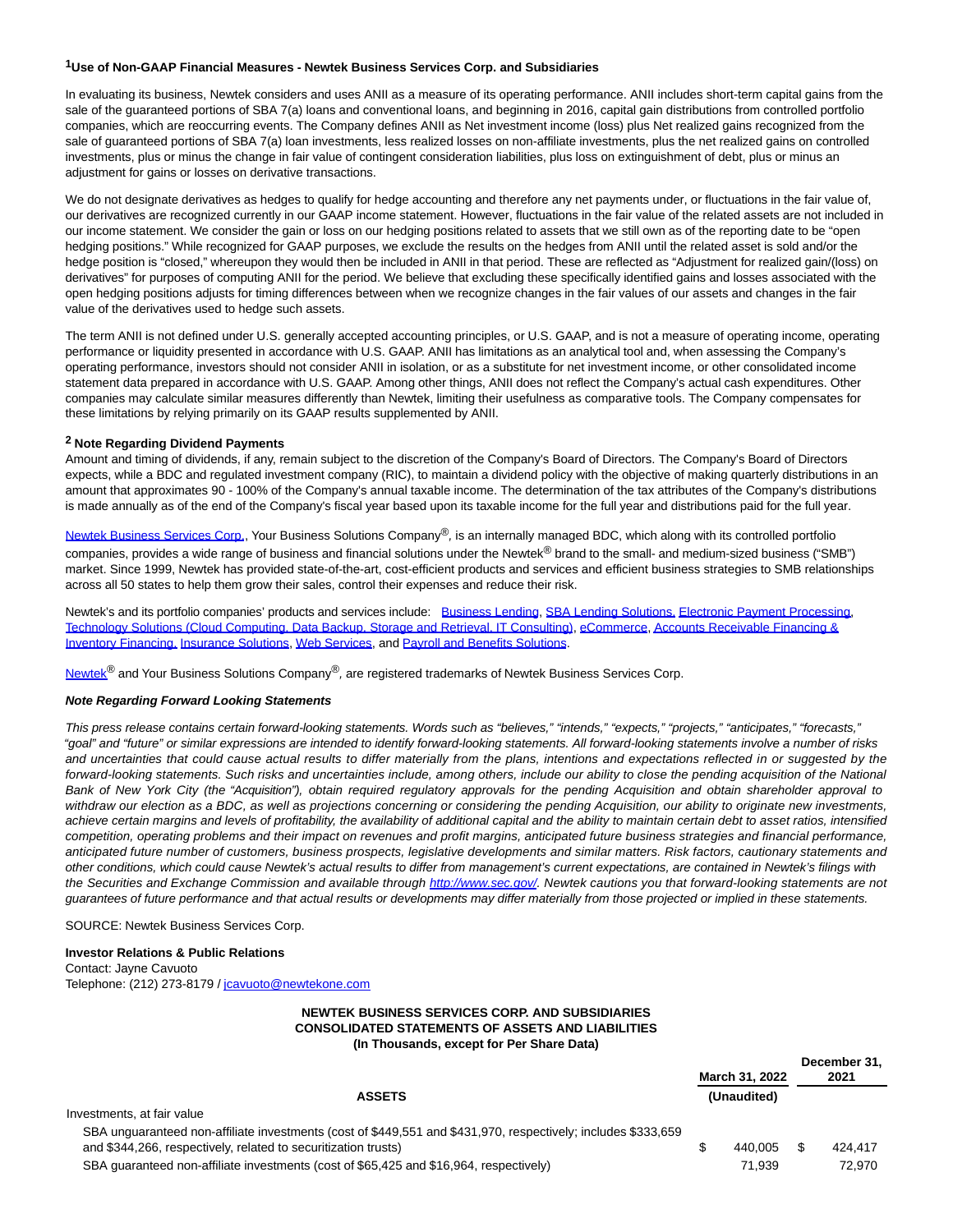#### **1Use of Non-GAAP Financial Measures - Newtek Business Services Corp. and Subsidiaries**

In evaluating its business, Newtek considers and uses ANII as a measure of its operating performance. ANII includes short-term capital gains from the sale of the guaranteed portions of SBA 7(a) loans and conventional loans, and beginning in 2016, capital gain distributions from controlled portfolio companies, which are reoccurring events. The Company defines ANII as Net investment income (loss) plus Net realized gains recognized from the sale of guaranteed portions of SBA 7(a) loan investments, less realized losses on non-affiliate investments, plus the net realized gains on controlled investments, plus or minus the change in fair value of contingent consideration liabilities, plus loss on extinguishment of debt, plus or minus an adjustment for gains or losses on derivative transactions.

We do not designate derivatives as hedges to qualify for hedge accounting and therefore any net payments under, or fluctuations in the fair value of, our derivatives are recognized currently in our GAAP income statement. However, fluctuations in the fair value of the related assets are not included in our income statement. We consider the gain or loss on our hedging positions related to assets that we still own as of the reporting date to be "open hedging positions." While recognized for GAAP purposes, we exclude the results on the hedges from ANII until the related asset is sold and/or the hedge position is "closed," whereupon they would then be included in ANII in that period. These are reflected as "Adjustment for realized gain/(loss) on derivatives" for purposes of computing ANII for the period. We believe that excluding these specifically identified gains and losses associated with the open hedging positions adjusts for timing differences between when we recognize changes in the fair values of our assets and changes in the fair value of the derivatives used to hedge such assets.

The term ANII is not defined under U.S. generally accepted accounting principles, or U.S. GAAP, and is not a measure of operating income, operating performance or liquidity presented in accordance with U.S. GAAP. ANII has limitations as an analytical tool and, when assessing the Company's operating performance, investors should not consider ANII in isolation, or as a substitute for net investment income, or other consolidated income statement data prepared in accordance with U.S. GAAP. Among other things, ANII does not reflect the Company's actual cash expenditures. Other companies may calculate similar measures differently than Newtek, limiting their usefulness as comparative tools. The Company compensates for these limitations by relying primarily on its GAAP results supplemented by ANII.

#### **2 Note Regarding Dividend Payments**

Amount and timing of dividends, if any, remain subject to the discretion of the Company's Board of Directors. The Company's Board of Directors expects, while a BDC and regulated investment company (RIC), to maintain a dividend policy with the objective of making quarterly distributions in an amount that approximates 90 - 100% of the Company's annual taxable income. The determination of the tax attributes of the Company's distributions is made annually as of the end of the Company's fiscal year based upon its taxable income for the full year and distributions paid for the full year.

[Newtek Business Services Corp.,](https://www.globenewswire.com/Tracker?data=2wqRWdMcpKYxhBwdX6kA-Glx88bUpHdGvMrxNFBCfJttEPeiJdMFeiXTOIeTD8CGAzEWkt7AaHjbWlzamx051LhBvswlXoMfhcIBges4VHM=) Your Business Solutions Company®, is an internally managed BDC, which along with its controlled portfolio companies, provides a wide range of business and financial solutions under the Newtek® brand to the small- and medium-sized business ("SMB") market. Since 1999, Newtek has provided state-of-the-art, cost-efficient products and services and efficient business strategies to SMB relationships across all 50 states to help them grow their sales, control their expenses and reduce their risk.

Newtek's and its portfolio companies' products and services include: [Business Lending,](https://www.globenewswire.com/Tracker?data=t3Ean_32tE1Mk9DOHe5rGpRR9aTASn5x6QHGnNc5_XqtYBA0b6RG_D2X8Lr7RuYwyBqexwzN6kUA6hlZMTSD1MTGx3fPFZDlPI4GRvoPKHA=) [SBA Lending Solutions,](https://www.globenewswire.com/Tracker?data=y-5uaqEPqYrSaOlHgvp1MkL9Gn2iDmHiN-8xBDtQl3Af6GHhf9w4zoWTE3RvYWwdui--vd4pHWJr3beRp42fqBLcTqk9uaC8BY7-eiXJuYA=) [Electronic Payment Processing,](https://www.globenewswire.com/Tracker?data=Zt7rkLuqOJTHmVJuKyzQBINWs5ANzTt804BVuP3eKVDTmqUfr0GnjC7GDZ69ytLOtUCSWwl8cmkbi19DX8kFWy9MiTTE_vVmmq6nEOzTzNtzzAPstsf6ep1-imm92bZp) [Technology Solutions \(Cloud Computing, Data Backup, Storage and Retrieval, IT Consulting\),](https://www.globenewswire.com/Tracker?data=pNoeK29g4Fe6Cdhu_R4NjtjkYqVd9W_Uc7Bc9s_cdPXEXPBvQE0qqULAOBlDlJWQumFFg0-nrCaopNkTJGDs0lqafJ_rsbwfIEKLfVISNvJHL7k1LWbr9ySakEetrjL38h4xJR0AcMxkO7hWSmMzDNPze2lSbB3JMGX0oLS6VsbWBQ6HV83EXDoeP8VT2Six3Oxww6XLJWcnlVrQ4V9lpg==) [eCommerce,](https://www.globenewswire.com/Tracker?data=Fkk9H2jXVMrESl2CvlpTukbxvkZohei7TXiWw_xYoKREzNsl0Jvl2WEKmlcA-7H2BEUqzsMXSJLAZ9XusMOeZw==) [Accounts Receivable Financing &](https://www.globenewswire.com/Tracker?data=Caes2rRhBBayx9saIjH-2b90XciwmGiIlTK2DZWxEBy7MEBJ7iukNhzYmMXOhd453goMk5XPQ9hiqkWBQ3qT4OwrOKvb-Aa0ZW-LfwSjKglb9CW0FxwthTjLP1ruYSxGiyd9nypNc3mmw7EL-FAecKi9wsRwFEXuCAAAMG2WX2I=) Inventory Financing, [Insurance Solutions,](https://www.globenewswire.com/Tracker?data=x73AGhErtGAayo5Y5JUGpbg5MHYzOp_ZjVB7Mm1QjDHVALUro65wH6FPcgaDlfrYbB3KCqsV9_FIHTLrX7_xZZe4s86LeBbGL3zsmQmTPwTi1E9qnbqhTJDdNBELB0ZXbDZMPeCyHq6ZeeWtXsQPtw==) [Web Services,](https://www.globenewswire.com/Tracker?data=VQWRQMszcXYH8K2Vm5kIqUMdeE7hOagq01ejUb5zdC_yIqqbGG66z_SaDpt6pvcQoCTxra3hQ_sz8sJnIDkpZTa2E2gjqzgUa2rw9c3oTX8=) and [Payroll and Benefits Solutions.](https://www.globenewswire.com/Tracker?data=v3cbgmSHLQyNWzVs2vGrsgKT7kDtUJITH6TdxKXcvddKk4sMPJ3nCWmPeNyoG5X2D01Py83FAdIaEn1oFeGnpXyubou8AFwNfO7gDkuSCdT3YN9ogj6WY12kw0j1oT2YeeDZ3-6PEpRliNveMx7LjQ==)

[Newtek](https://www.globenewswire.com/Tracker?data=2wqRWdMcpKYxhBwdX6kA-HAywlH3-5GuF5ZZ-ohCxinqdIKTFE-jiTD8U5cb2mjLhZhrqhIC1gvgJ1LeF9mY9A==)<sup>®</sup> and Your Business Solutions Company<sup>®</sup>, are registered trademarks of Newtek Business Services Corp.

#### **Note Regarding Forward Looking Statements**

This press release contains certain forward-looking statements. Words such as "believes," "intends," "expects," "projects," "anticipates," "forecasts," "goal" and "future" or similar expressions are intended to identify forward-looking statements. All forward-looking statements involve a number of risks and uncertainties that could cause actual results to differ materially from the plans, intentions and expectations reflected in or suggested by the forward-looking statements. Such risks and uncertainties include, among others, include our ability to close the pending acquisition of the National Bank of New York City (the "Acquisition"), obtain required regulatory approvals for the pending Acquisition and obtain shareholder approval to withdraw our election as a BDC, as well as projections concerning or considering the pending Acquisition, our ability to originate new investments, achieve certain margins and levels of profitability, the availability of additional capital and the ability to maintain certain debt to asset ratios, intensified competition, operating problems and their impact on revenues and profit margins, anticipated future business strategies and financial performance, anticipated future number of customers, business prospects, legislative developments and similar matters. Risk factors, cautionary statements and other conditions, which could cause Newtek's actual results to differ from management's current expectations, are contained in Newtek's filings with the Securities and Exchange Commission and available through [http://www.sec.gov/.](https://www.globenewswire.com/Tracker?data=f96uXopg8HcZ246AMBoUbDshD6uYOjqS7yQGRHGL48gdIz3BOQn-pkjBFeyyIheAQIkif5yhYu842ilb8lkxLw==) Newtek cautions you that forward-looking statements are not guarantees of future performance and that actual results or developments may differ materially from those projected or implied in these statements.

SOURCE: Newtek Business Services Corp.

#### **Investor Relations & Public Relations**

Contact: Jayne Cavuoto Telephone: (212) 273-8179 / [jcavuoto@newtekone.com](https://www.globenewswire.com/Tracker?data=_6RjhYzaUVvQ0ovJCyuMuZ1YO9qe5APMy2Ru1AqnrIMpImcT_zJwzlV94ztSUpogGEJWJIbdUTWQGLRSJjs0cmRM8NKJvFleEXeVHyWtqIs=)

#### **NEWTEK BUSINESS SERVICES CORP. AND SUBSIDIARIES CONSOLIDATED STATEMENTS OF ASSETS AND LIABILITIES (In Thousands, except for Per Share Data)**

|                                                                                                                                             | March 31, 2022 |             | December 31,<br>2021 |
|---------------------------------------------------------------------------------------------------------------------------------------------|----------------|-------------|----------------------|
| <b>ASSETS</b>                                                                                                                               |                | (Unaudited) |                      |
| Investments, at fair value<br>SBA unguaranteed non-affiliate investments (cost of \$449,551 and \$431,970, respectively; includes \$333,659 |                |             |                      |
| and \$344,266, respectively, related to securitization trusts)                                                                              |                | 440.005     | 424.417              |
| SBA guaranteed non-affiliate investments (cost of \$65,425 and \$16,964, respectively)                                                      |                | 71.939      | 72.970               |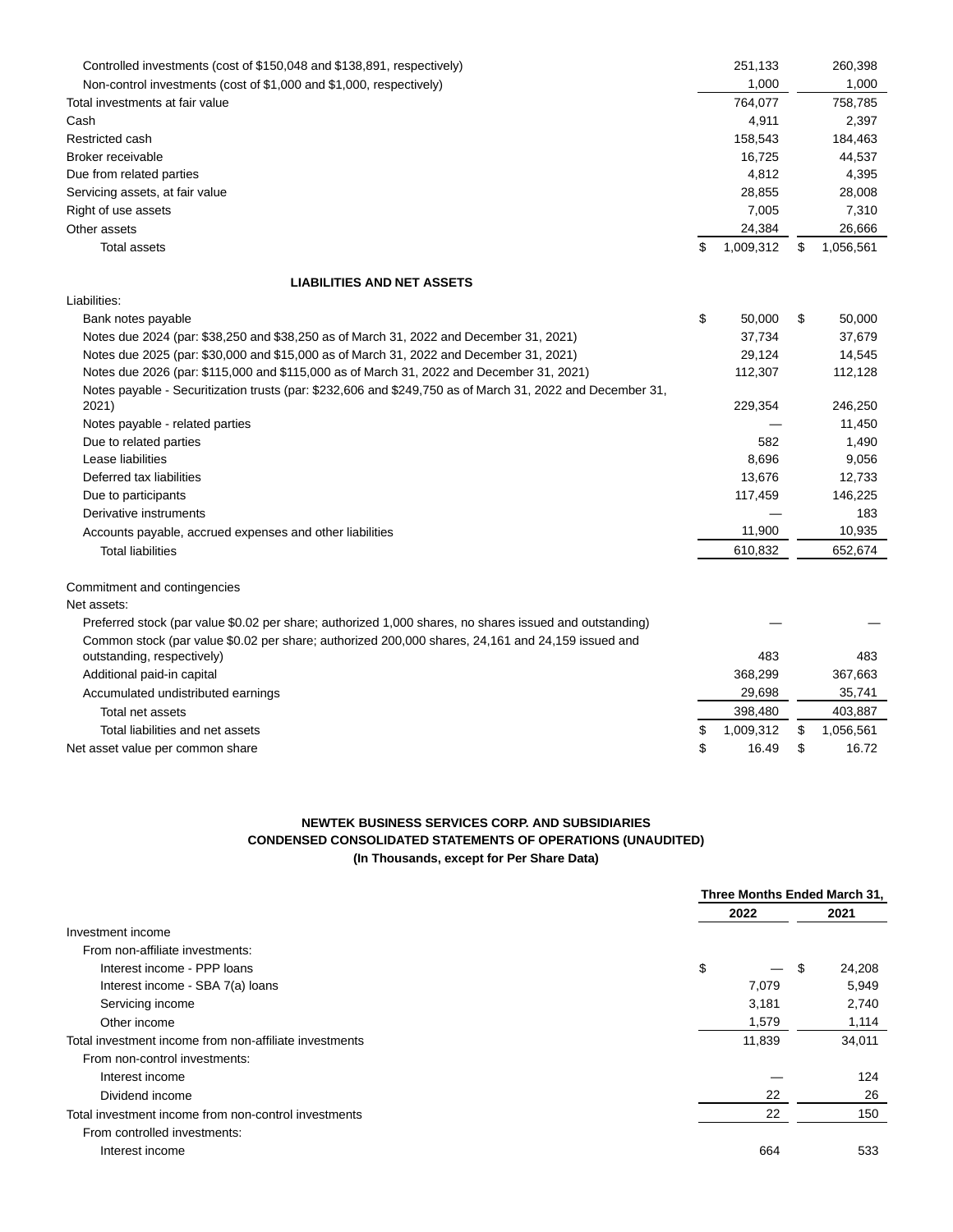| Controlled investments (cost of \$150,048 and \$138,891, respectively)                                    | 251,133         | 260,398         |
|-----------------------------------------------------------------------------------------------------------|-----------------|-----------------|
| Non-control investments (cost of \$1,000 and \$1,000, respectively)                                       | 1,000           | 1,000           |
| Total investments at fair value                                                                           | 764,077         | 758,785         |
| Cash                                                                                                      | 4,911           | 2,397           |
| Restricted cash                                                                                           | 158,543         | 184,463         |
| Broker receivable                                                                                         | 16,725          | 44,537          |
| Due from related parties                                                                                  | 4,812           | 4,395           |
| Servicing assets, at fair value                                                                           | 28,855          | 28,008          |
| Right of use assets                                                                                       | 7,005           | 7,310           |
| Other assets                                                                                              | 24,384          | 26,666          |
| <b>Total assets</b>                                                                                       | \$<br>1,009,312 | \$<br>1,056,561 |
| <b>LIABILITIES AND NET ASSETS</b>                                                                         |                 |                 |
| Liabilities:                                                                                              |                 |                 |
| Bank notes payable                                                                                        | \$<br>50,000    | \$<br>50,000    |
| Notes due 2024 (par: \$38,250 and \$38,250 as of March 31, 2022 and December 31, 2021)                    | 37,734          | 37,679          |
| Notes due 2025 (par: \$30,000 and \$15,000 as of March 31, 2022 and December 31, 2021)                    | 29,124          | 14,545          |
| Notes due 2026 (par: \$115,000 and \$115,000 as of March 31, 2022 and December 31, 2021)                  | 112,307         | 112,128         |
| Notes payable - Securitization trusts (par: \$232,606 and \$249,750 as of March 31, 2022 and December 31, |                 |                 |
| 2021)                                                                                                     | 229,354         | 246,250         |
| Notes payable - related parties                                                                           |                 | 11,450          |
| Due to related parties                                                                                    | 582             | 1,490           |
| Lease liabilities                                                                                         | 8,696           | 9,056           |
| Deferred tax liabilities                                                                                  | 13,676          | 12,733          |
| Due to participants                                                                                       | 117,459         | 146,225         |
| Derivative instruments                                                                                    |                 | 183             |
| Accounts payable, accrued expenses and other liabilities                                                  | 11,900          | 10,935          |
| <b>Total liabilities</b>                                                                                  | 610,832         | 652,674         |
| Commitment and contingencies                                                                              |                 |                 |
| Net assets:                                                                                               |                 |                 |
| Preferred stock (par value \$0.02 per share; authorized 1,000 shares, no shares issued and outstanding)   |                 |                 |
| Common stock (par value \$0.02 per share; authorized 200,000 shares, 24,161 and 24,159 issued and         |                 |                 |
| outstanding, respectively)                                                                                | 483             | 483             |
| Additional paid-in capital                                                                                | 368,299         | 367,663         |
| Accumulated undistributed earnings                                                                        | 29,698          | 35,741          |
| Total net assets                                                                                          | 398,480         | 403,887         |
| Total liabilities and net assets                                                                          | \$<br>1,009,312 | \$<br>1,056,561 |
| Net asset value per common share                                                                          | \$<br>16.49     | \$<br>16.72     |

## **NEWTEK BUSINESS SERVICES CORP. AND SUBSIDIARIES CONDENSED CONSOLIDATED STATEMENTS OF OPERATIONS (UNAUDITED) (In Thousands, except for Per Share Data)**

|                                                        | Three Months Ended March 31, |    |        |  |
|--------------------------------------------------------|------------------------------|----|--------|--|
|                                                        | 2022                         |    | 2021   |  |
| Investment income                                      |                              |    |        |  |
| From non-affiliate investments:                        |                              |    |        |  |
| Interest income - PPP loans                            | \$<br>$\qquad \qquad$        | -S | 24,208 |  |
| Interest income - SBA 7(a) loans                       | 7,079                        |    | 5,949  |  |
| Servicing income                                       | 3,181                        |    | 2,740  |  |
| Other income                                           | 1,579                        |    | 1,114  |  |
| Total investment income from non-affiliate investments | 11,839                       |    | 34,011 |  |
| From non-control investments:                          |                              |    |        |  |
| Interest income                                        |                              |    | 124    |  |
| Dividend income                                        | 22                           |    | 26     |  |
| Total investment income from non-control investments   | 22                           |    | 150    |  |
| From controlled investments:                           |                              |    |        |  |
| Interest income                                        | 664                          |    | 533    |  |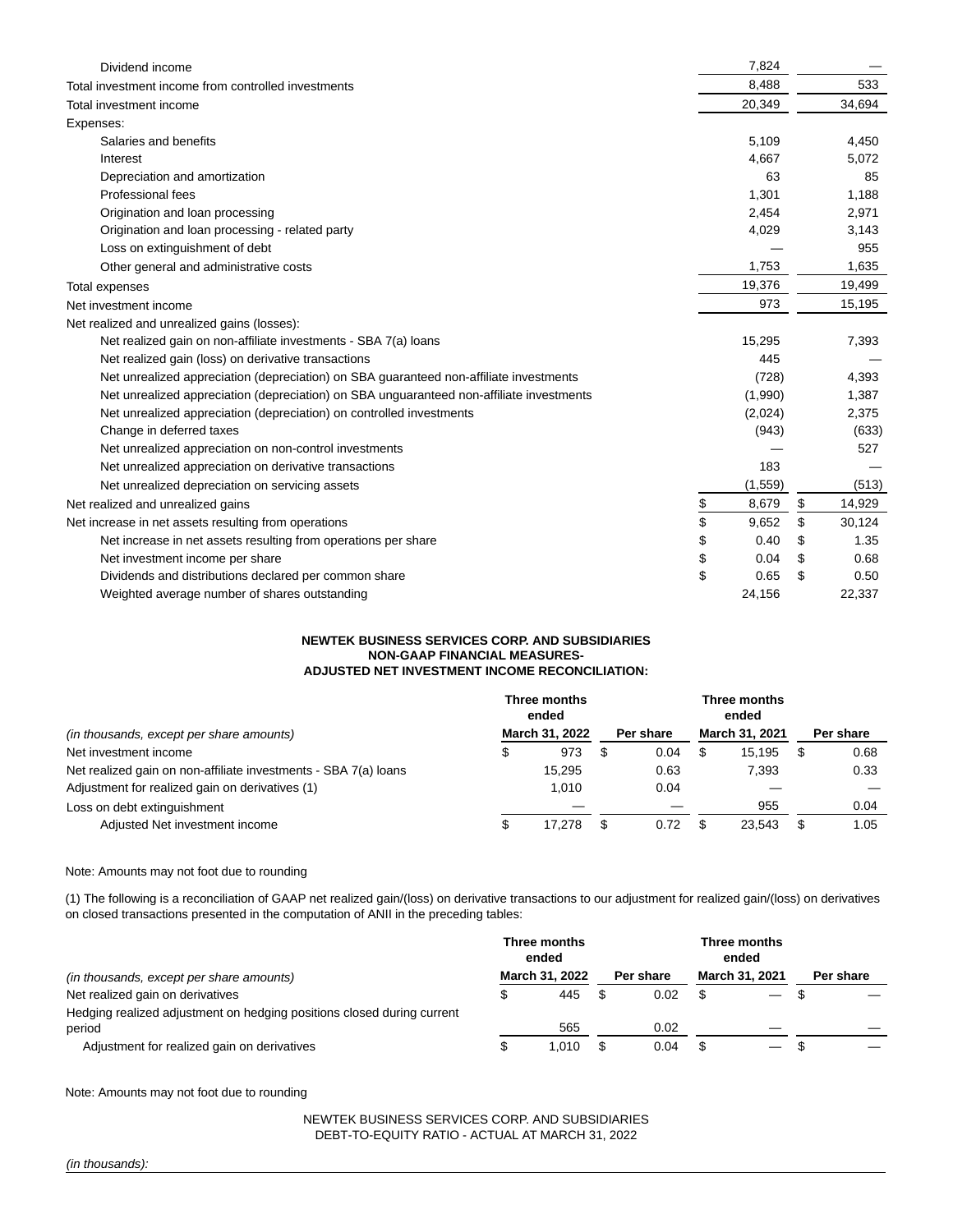| Dividend income                                                                          | 7,824       |              |
|------------------------------------------------------------------------------------------|-------------|--------------|
| Total investment income from controlled investments                                      | 8.488       | 533          |
| Total investment income                                                                  | 20,349      | 34,694       |
| Expenses:                                                                                |             |              |
| Salaries and benefits                                                                    | 5,109       | 4,450        |
| Interest                                                                                 | 4,667       | 5,072        |
| Depreciation and amortization                                                            | 63          | 85           |
| Professional fees                                                                        | 1,301       | 1,188        |
| Origination and loan processing                                                          | 2,454       | 2,971        |
| Origination and loan processing - related party                                          | 4,029       | 3,143        |
| Loss on extinguishment of debt                                                           |             | 955          |
| Other general and administrative costs                                                   | 1,753       | 1,635        |
| Total expenses                                                                           | 19,376      | 19,499       |
| Net investment income                                                                    | 973         | 15,195       |
| Net realized and unrealized gains (losses):                                              |             |              |
| Net realized gain on non-affiliate investments - SBA 7(a) loans                          | 15,295      | 7,393        |
| Net realized gain (loss) on derivative transactions                                      | 445         |              |
| Net unrealized appreciation (depreciation) on SBA guaranteed non-affiliate investments   | (728)       | 4,393        |
| Net unrealized appreciation (depreciation) on SBA unguaranteed non-affiliate investments | (1,990)     | 1,387        |
| Net unrealized appreciation (depreciation) on controlled investments                     | (2,024)     | 2,375        |
| Change in deferred taxes                                                                 | (943)       | (633)        |
| Net unrealized appreciation on non-control investments                                   |             | 527          |
| Net unrealized appreciation on derivative transactions                                   | 183         |              |
| Net unrealized depreciation on servicing assets                                          | (1,559)     | (513)        |
| Net realized and unrealized gains                                                        | \$<br>8,679 | \$<br>14,929 |
| Net increase in net assets resulting from operations                                     | \$<br>9,652 | \$<br>30,124 |
| Net increase in net assets resulting from operations per share                           | \$<br>0.40  | \$<br>1.35   |
| Net investment income per share                                                          | \$<br>0.04  | \$<br>0.68   |
| Dividends and distributions declared per common share                                    | \$<br>0.65  | \$<br>0.50   |
| Weighted average number of shares outstanding                                            | 24,156      | 22,337       |

### **NEWTEK BUSINESS SERVICES CORP. AND SUBSIDIARIES NON-GAAP FINANCIAL MEASURES-ADJUSTED NET INVESTMENT INCOME RECONCILIATION:**

|                                                                 |                | Three months<br>ended |  |           |  | Three months<br>ended |  |           |  |
|-----------------------------------------------------------------|----------------|-----------------------|--|-----------|--|-----------------------|--|-----------|--|
| (in thousands, except per share amounts)                        | March 31, 2022 |                       |  | Per share |  | <b>March 31, 2021</b> |  | Per share |  |
| Net investment income                                           | \$             | 973                   |  | 0.04      |  | 15.195                |  | 0.68      |  |
| Net realized gain on non-affiliate investments - SBA 7(a) loans |                | 15.295                |  | 0.63      |  | 7.393                 |  | 0.33      |  |
| Adjustment for realized gain on derivatives (1)                 |                | 1.010                 |  | 0.04      |  |                       |  |           |  |
| Loss on debt extinguishment                                     |                |                       |  |           |  | 955                   |  | 0.04      |  |
| Adjusted Net investment income                                  | \$             | 17.278                |  | 0.72      |  | 23.543                |  | 1.05      |  |

### Note: Amounts may not foot due to rounding

(1) The following is a reconciliation of GAAP net realized gain/(loss) on derivative transactions to our adjustment for realized gain/(loss) on derivatives on closed transactions presented in the computation of ANII in the preceding tables:

|                                                                        | Three months<br>ended |                |  | Three months<br>ended |  |                       |  |           |
|------------------------------------------------------------------------|-----------------------|----------------|--|-----------------------|--|-----------------------|--|-----------|
| (in thousands, except per share amounts)                               |                       | March 31, 2022 |  | Per share             |  | <b>March 31, 2021</b> |  | Per share |
| Net realized gain on derivatives                                       |                       | 445            |  | 0.02                  |  | $\hspace{0.05cm}$     |  |           |
| Hedging realized adjustment on hedging positions closed during current |                       |                |  |                       |  |                       |  |           |
| period                                                                 |                       | 565            |  | 0.02                  |  |                       |  |           |
| Adjustment for realized gain on derivatives                            |                       | 1.010          |  | 0.04                  |  |                       |  |           |

Note: Amounts may not foot due to rounding

NEWTEK BUSINESS SERVICES CORP. AND SUBSIDIARIES DEBT-TO-EQUITY RATIO - ACTUAL AT MARCH 31, 2022

(in thousands):